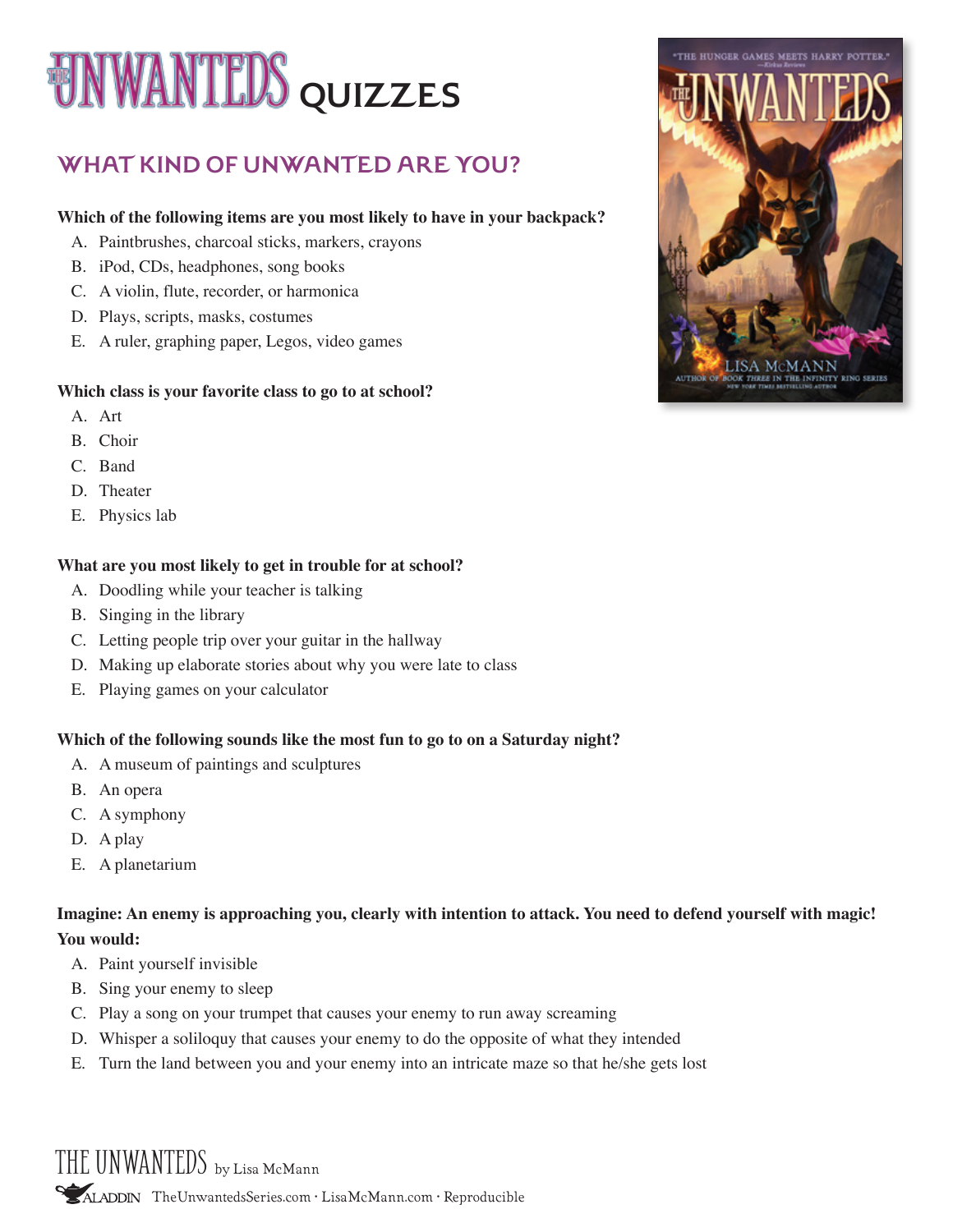# **WANTEDS** QUIZZES

# **WHAT KIND OF UNWANTED ARE YOU?**

# **Which of the following items are you most likely to have in your backpack?**

- A. Paintbrushes, charcoal sticks, markers, crayons
- B. iPod, CDs, headphones, song books
- C. A violin, flute, recorder, or harmonica
- D. Plays, scripts, masks, costumes
- E. A ruler, graphing paper, Legos, video games

# **Which class is your favorite class to go to at school?**

- A. Art
- B. Choir
- C. Band
- D. Theater
- E. Physics lab

# **What are you most likely to get in trouble for at school?**

- A. Doodling while your teacher is talking
- B. Singing in the library
- C. Letting people trip over your guitar in the hallway
- D. Making up elaborate stories about why you were late to class
- E. Playing games on your calculator

# **Which of the following sounds like the most fun to go to on a Saturday night?**

- A. A museum of paintings and sculptures
- B. An opera
- C. A symphony
- D. A play
- E. A planetarium

# **Imagine: An enemy is approaching you, clearly with intention to attack. You need to defend yourself with magic!**

#### **You would:**

- A. Paint yourself invisible
- B. Sing your enemy to sleep
- C. Play a song on your trumpet that causes your enemy to run away screaming
- D. Whisper a soliloquy that causes your enemy to do the opposite of what they intended
- E. Turn the land between you and your enemy into an intricate maze so that he/she gets lost